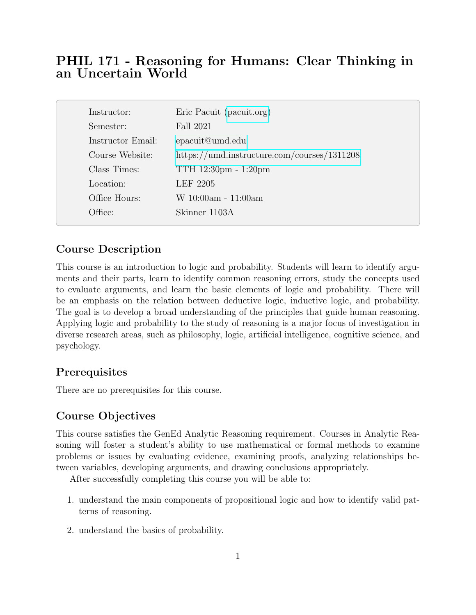# PHIL 171 - Reasoning for Humans: Clear Thinking in an Uncertain World

| Instructor:       | Eric Pacuit (pacuit.org)                    |
|-------------------|---------------------------------------------|
| Semester:         | Fall 2021                                   |
| Instructor Email: | epacuit@umd.edu                             |
| Course Website:   | https://umd.instructure.com/courses/1311208 |
| Class Times:      | TTH 12:30pm - 1:20pm                        |
| Location:         | LEF 2205                                    |
| Office Hours:     | W 10:00am - 11:00am                         |
| Office:           | Skinner 1103A                               |

## Course Description

This course is an introduction to logic and probability. Students will learn to identify arguments and their parts, learn to identify common reasoning errors, study the concepts used to evaluate arguments, and learn the basic elements of logic and probability. There will be an emphasis on the relation between deductive logic, inductive logic, and probability. The goal is to develop a broad understanding of the principles that guide human reasoning. Applying logic and probability to the study of reasoning is a major focus of investigation in diverse research areas, such as philosophy, logic, artificial intelligence, cognitive science, and psychology.

## **Prerequisites**

There are no prerequisites for this course.

## Course Objectives

This course satisfies the GenEd Analytic Reasoning requirement. Courses in Analytic Reasoning will foster a student's ability to use mathematical or formal methods to examine problems or issues by evaluating evidence, examining proofs, analyzing relationships between variables, developing arguments, and drawing conclusions appropriately.

After successfully completing this course you will be able to:

- 1. understand the main components of propositional logic and how to identify valid patterns of reasoning.
- 2. understand the basics of probability.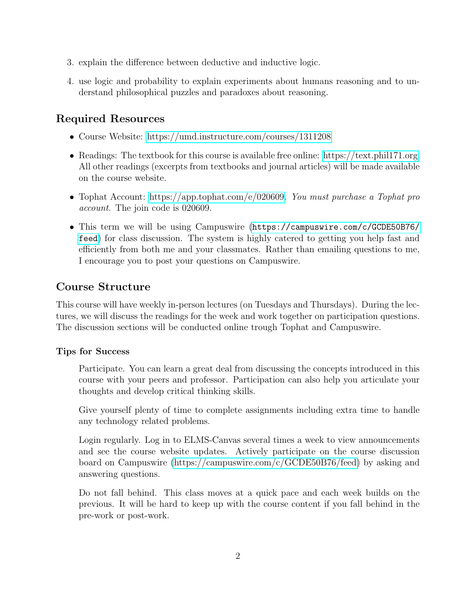- 3. explain the difference between deductive and inductive logic.
- 4. use logic and probability to explain experiments about humans reasoning and to understand philosophical puzzles and paradoxes about reasoning.

# Required Resources

- Course Website:<https://umd.instructure.com/courses/1311208>
- Readings: The textbook for this course is available free online: [https://text.phil171.org.](https://text.phil171.org) All other readings (excerpts from textbooks and journal articles) will be made available on the course website.
- Tophat Account: [https://app.tophat.com/e/020609.](https://app.tophat.com/e/020609) You must purchase a Tophat pro account. The join code is 020609.
- This term we will be using Campuswire ([https://campuswire.com/c/GCDE50B76/](https://campuswire.com/c/GCDE50B76/feed) [feed](https://campuswire.com/c/GCDE50B76/feed)) for class discussion. The system is highly catered to getting you help fast and efficiently from both me and your classmates. Rather than emailing questions to me, I encourage you to post your questions on Campuswire.

## Course Structure

This course will have weekly in-person lectures (on Tuesdays and Thursdays). During the lectures, we will discuss the readings for the week and work together on participation questions. The discussion sections will be conducted online trough Tophat and Campuswire.

## Tips for Success

Participate. You can learn a great deal from discussing the concepts introduced in this course with your peers and professor. Participation can also help you articulate your thoughts and develop critical thinking skills.

Give yourself plenty of time to complete assignments including extra time to handle any technology related problems.

Login regularly. Log in to ELMS-Canvas several times a week to view announcements and see the course website updates. Actively participate on the course discussion board on Campuswire [\(https://campuswire.com/c/GCDE50B76/feed\)](https://campuswire.com/c/GCDE50B76/feed) by asking and answering questions.

Do not fall behind. This class moves at a quick pace and each week builds on the previous. It will be hard to keep up with the course content if you fall behind in the pre-work or post-work.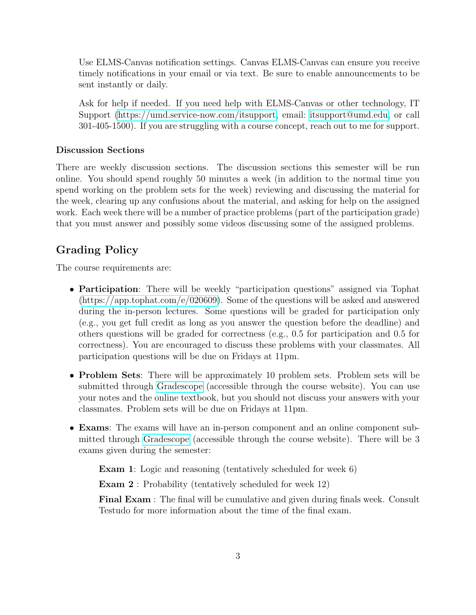Use ELMS-Canvas notification settings. Canvas ELMS-Canvas can ensure you receive timely notifications in your email or via text. Be sure to enable announcements to be sent instantly or daily.

Ask for help if needed. If you need help with ELMS-Canvas or other technology, IT Support [\(https://umd.service-now.com/itsupport,](https://umd.service-now.com/itsupport) email: [itsupport@umd.edu,](mailto:itsupport@umd.edu) or call 301-405-1500). If you are struggling with a course concept, reach out to me for support.

#### Discussion Sections

There are weekly discussion sections. The discussion sections this semester will be run online. You should spend roughly 50 minutes a week (in addition to the normal time you spend working on the problem sets for the week) reviewing and discussing the material for the week, clearing up any confusions about the material, and asking for help on the assigned work. Each week there will be a number of practice problems (part of the participation grade) that you must answer and possibly some videos discussing some of the assigned problems.

## Grading Policy

The course requirements are:

- Participation: There will be weekly "participation questions" assigned via Tophat [\(https://app.tophat.com/e/020609\)](https://app.tophat.com/e/020609). Some of the questions will be asked and answered during the in-person lectures. Some questions will be graded for participation only (e.g., you get full credit as long as you answer the question before the deadline) and others questions will be graded for correctness (e.g., 0.5 for participation and 0.5 for correctness). You are encouraged to discuss these problems with your classmates. All participation questions will be due on Fridays at 11pm.
- Problem Sets: There will be approximately 10 problem sets. Problem sets will be submitted through [Gradescope](https://umd.instructure.com/courses/1311208/external_tools/38832?display=borderless) (accessible through the course website). You can use your notes and the online textbook, but you should not discuss your answers with your classmates. Problem sets will be due on Fridays at 11pm.
- Exams: The exams will have an in-person component and an online component submitted through [Gradescope](https://umd.instructure.com/courses/1289360/external_tools/38832?display=borderless) (accessible through the course website). There will be 3 exams given during the semester:

Exam 1: Logic and reasoning (tentatively scheduled for week 6)

Exam 2 : Probability (tentatively scheduled for week 12)

Final Exam : The final will be cumulative and given during finals week. Consult Testudo for more information about the time of the final exam.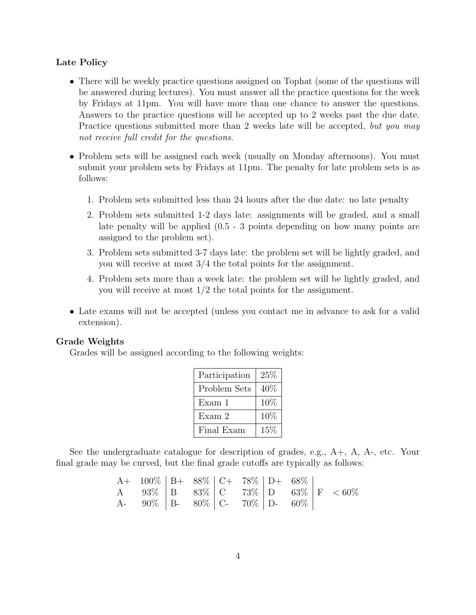#### Late Policy

- There will be weekly practice questions assigned on Tophat (some of the questions will be answered during lectures). You must answer all the practice questions for the week by Fridays at 11pm. You will have more than one chance to answer the questions. Answers to the practice questions will be accepted up to 2 weeks past the due date. Practice questions submitted more than 2 weeks late will be accepted, but you may not receive full credit for the questions.
- Problem sets will be assigned each week (usually on Monday afternoons). You must submit your problem sets by Fridays at 11pm. The penalty for late problem sets is as follows:
	- 1. Problem sets submitted less than 24 hours after the due date: no late penalty
	- 2. Problem sets submitted 1-2 days late: assignments will be graded, and a small late penalty will be applied (0.5 - 3 points depending on how many points are assigned to the problem set).
	- 3. Problem sets submitted 3-7 days late: the problem set will be lightly graded, and you will receive at most 3/4 the total points for the assignment.
	- 4. Problem sets more than a week late: the problem set will be lightly graded, and you will receive at most 1/2 the total points for the assignment.
- Late exams will not be accepted (unless you contact me in advance to ask for a valid extension).

#### Grade Weights

Grades will be assigned according to the following weights:

| Participation | $25\%$ |  |  |
|---------------|--------|--|--|
| Problem Sets  | 40%    |  |  |
| Exam 1        | 10%    |  |  |
| Exam 2        | 10%    |  |  |
| Final Exam    | 15%    |  |  |

See the undergraduate catalogue for description of grades, e.g., A+, A, A-, etc. Your final grade may be curved, but the final grade cutoffs are typically as follows:

| $A+ 100\%$   B+ 88\%   C+ 78\%   D+ 68\%         |  |  |  |  |
|--------------------------------------------------|--|--|--|--|
| A 93\%   B 83\%   C 73\%   D 63\%   F $\lt 60\%$ |  |  |  |  |
| A- $90\%$   B- $80\%$   C- $70\%$   D- $60\%$    |  |  |  |  |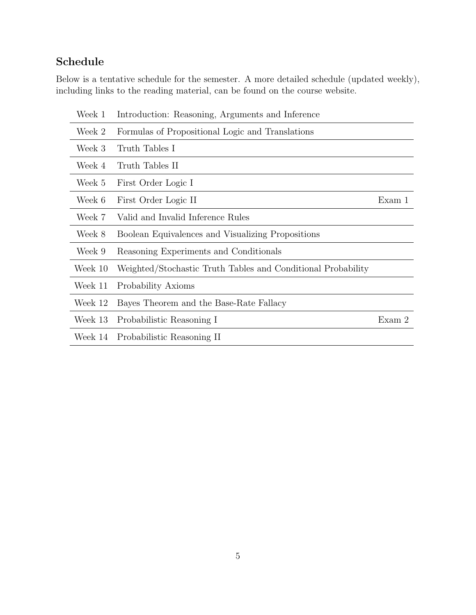# Schedule

Below is a tentative schedule for the semester. A more detailed schedule (updated weekly), including links to the reading material, can be found on the course website.

| Week 1  | Introduction: Reasoning, Arguments and Inference             |        |
|---------|--------------------------------------------------------------|--------|
| Week 2  | Formulas of Propositional Logic and Translations             |        |
| Week 3  | Truth Tables I                                               |        |
| Week 4  | Truth Tables II                                              |        |
| Week 5  | First Order Logic I                                          |        |
| Week 6  | First Order Logic II                                         | Exam 1 |
| Week 7  | Valid and Invalid Inference Rules                            |        |
| Week 8  | Boolean Equivalences and Visualizing Propositions            |        |
| Week 9  | Reasoning Experiments and Conditionals                       |        |
| Week 10 | Weighted/Stochastic Truth Tables and Conditional Probability |        |
| Week 11 | Probability Axioms                                           |        |
| Week 12 | Bayes Theorem and the Base-Rate Fallacy                      |        |
| Week 13 | Probabilistic Reasoning I                                    | Exam 2 |
| Week 14 | Probabilistic Reasoning II                                   |        |
|         |                                                              |        |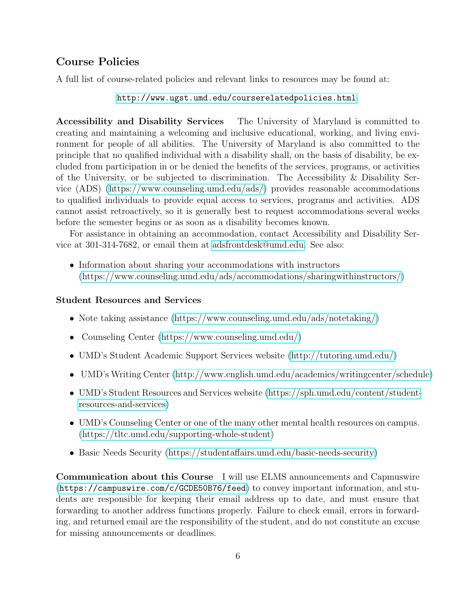## Course Policies

A full list of course-related policies and relevant links to resources may be found at:

#### <http://www.ugst.umd.edu/courserelatedpolicies.html>.

Accessibility and Disability Services The University of Maryland is committed to creating and maintaining a welcoming and inclusive educational, working, and living environment for people of all abilities. The University of Maryland is also committed to the principle that no qualified individual with a disability shall, on the basis of disability, be excluded from participation in or be denied the benefits of the services, programs, or activities of the University, or be subjected to discrimination. The Accessibility & Disability Service (ADS) [\(https://www.counseling.umd.edu/ads/\)](https://www.counseling.umd.edu/ads/) provides reasonable accommodations to qualified individuals to provide equal access to services, programs and activities. ADS cannot assist retroactively, so it is generally best to request accommodations several weeks before the semester begins or as soon as a disability becomes known.

For assistance in obtaining an accommodation, contact Accessibility and Disability Service at 301-314-7682, or email them at [adsfrontdesk@umd.edu.](mailto:adsfrontdesk@umd.edu) See also:

• Information about sharing your accommodations with instructors [\(https://www.counseling.umd.edu/ads/accommodations/sharingwithinstructors/\)](https://www.counseling.umd.edu/ads/accommodations/sharingwithinstructors/)

#### Student Resources and Services

- Note taking assistance [\(https://www.counseling.umd.edu/ads/notetaking/\)](https://www.counseling.umd.edu/ads/notetaking/)
- Counseling Center [\(https://www.counseling.umd.edu/\)](http://counseling.umd.edu/ads/)
- UMD's Student Academic Support Services website [\(http://tutoring.umd.edu/\)](http://tutoring.umd.edu/)
- UMD's Writing Center [\(http://www.english.umd.edu/academics/writingcenter/schedule\)](http://www.english.umd.edu/academics/writingcenter/schedule)
- UMD's Student Resources and Services website [\(https://sph.umd.edu/content/student](https://sph.umd.edu/content/student-resources-and-services)[resources-and-services\)](https://sph.umd.edu/content/student-resources-and-services)
- UMD's Counseling Center or one of the many other mental health resources on campus. [\(https://tltc.umd.edu/supporting-whole-student\)](https://tltc.umd.edu/supporting-whole-student)
- Basic Needs Security [\(https://studentaffairs.umd.edu/basic-needs-security\)](https://studentaffairs.umd.edu/basic-needs-security)

Communication about this Course I will use ELMS announcements and Capmuswire (<https://campuswire.com/c/GCDE50B76/feed>) to convey important information, and students are responsible for keeping their email address up to date, and must ensure that forwarding to another address functions properly. Failure to check email, errors in forwarding, and returned email are the responsibility of the student, and do not constitute an excuse for missing announcements or deadlines.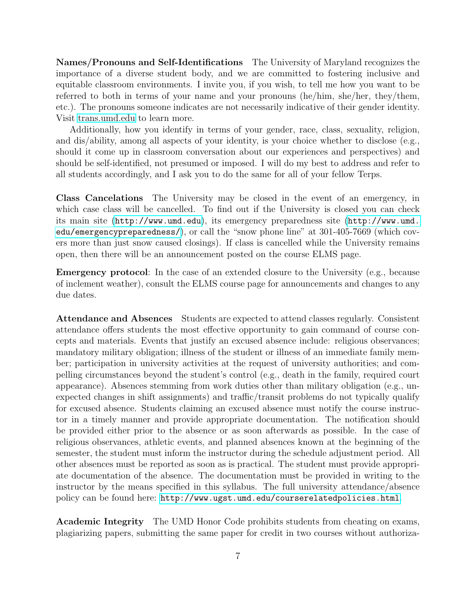Names/Pronouns and Self-Identifications The University of Maryland recognizes the importance of a diverse student body, and we are committed to fostering inclusive and equitable classroom environments. I invite you, if you wish, to tell me how you want to be referred to both in terms of your name and your pronouns (he/him, she/her, they/them, etc.). The pronouns someone indicates are not necessarily indicative of their gender identity. Visit [trans.umd.edu](https://trans.umd.edu) to learn more.

Additionally, how you identify in terms of your gender, race, class, sexuality, religion, and dis/ability, among all aspects of your identity, is your choice whether to disclose (e.g., should it come up in classroom conversation about our experiences and perspectives) and should be self-identified, not presumed or imposed. I will do my best to address and refer to all students accordingly, and I ask you to do the same for all of your fellow Terps.

Class Cancelations The University may be closed in the event of an emergency, in which case class will be cancelled. To find out if the University is closed you can check its main site (<http://www.umd.edu>), its emergency preparedness site ([http://www.umd.](http://www.umd.edu/emergencypreparedness/) [edu/emergencypreparedness/](http://www.umd.edu/emergencypreparedness/)), or call the "snow phone line" at 301-405-7669 (which covers more than just snow caused closings). If class is cancelled while the University remains open, then there will be an announcement posted on the course ELMS page.

Emergency protocol: In the case of an extended closure to the University (e.g., because of inclement weather), consult the ELMS course page for announcements and changes to any due dates.

Attendance and Absences Students are expected to attend classes regularly. Consistent attendance offers students the most effective opportunity to gain command of course concepts and materials. Events that justify an excused absence include: religious observances; mandatory military obligation; illness of the student or illness of an immediate family member; participation in university activities at the request of university authorities; and compelling circumstances beyond the student's control (e.g., death in the family, required court appearance). Absences stemming from work duties other than military obligation (e.g., unexpected changes in shift assignments) and traffic/transit problems do not typically qualify for excused absence. Students claiming an excused absence must notify the course instructor in a timely manner and provide appropriate documentation. The notification should be provided either prior to the absence or as soon afterwards as possible. In the case of religious observances, athletic events, and planned absences known at the beginning of the semester, the student must inform the instructor during the schedule adjustment period. All other absences must be reported as soon as is practical. The student must provide appropriate documentation of the absence. The documentation must be provided in writing to the instructor by the means specified in this syllabus. The full university attendance/absence policy can be found here: <http://www.ugst.umd.edu/courserelatedpolicies.html>.

Academic Integrity The UMD Honor Code prohibits students from cheating on exams, plagiarizing papers, submitting the same paper for credit in two courses without authoriza